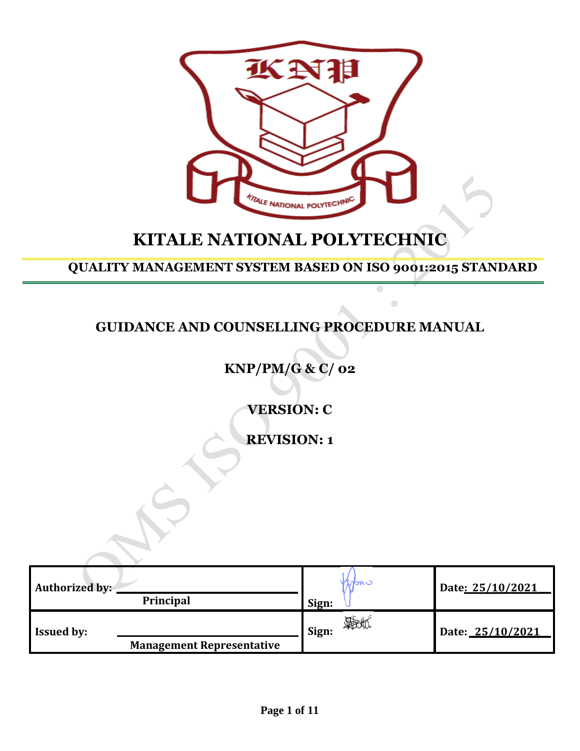

# **KITALE NATIONAL POLYTECHNIC**

**QUALITY MANAGEMENT SYSTEM BASED ON ISO 9001:2015 STANDARD**

 $\bullet$ 

## **GUIDANCE AND COUNSELLING PROCEDURE MANUAL**

**KNP/PM/G & C/ 02**

**VERSION: C**

**REVISION: 1**

| Authorized by:    | Principal                        | Sign: | nan c | Date: 25/10/2021 |
|-------------------|----------------------------------|-------|-------|------------------|
| <b>Issued by:</b> | <b>Management Representative</b> | Sign: |       | Date: 25/10/2021 |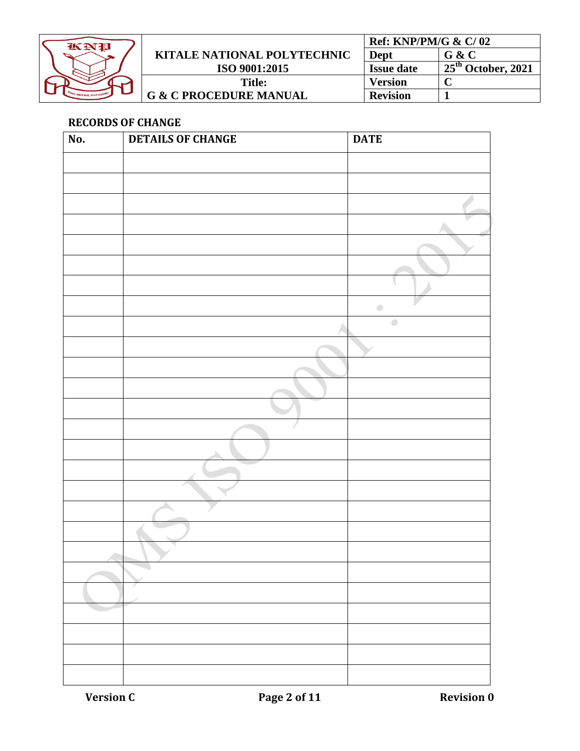

|                                    | Ref: KNP/PM/G $\&math> C/ 02$ |                                 |
|------------------------------------|-------------------------------|---------------------------------|
| <b>KITALE NATIONAL POLYTECHNIC</b> | Dept                          | G & C                           |
| ISO 9001:2015                      | <b>Issue date</b>             | $+25^{\text{th}}$ October, 2021 |
| Title:                             | <b>Version</b>                |                                 |
| <b>G &amp; C PROCEDURE MANUAL</b>  | <b>Revision</b>               |                                 |

### <span id="page-1-0"></span>**RECORDS OF CHANGE**

| No. | <b>DETAILS OF CHANGE</b> | <b>DATE</b>                                       |
|-----|--------------------------|---------------------------------------------------|
|     |                          |                                                   |
|     |                          |                                                   |
|     |                          |                                                   |
|     |                          |                                                   |
|     |                          |                                                   |
|     |                          |                                                   |
|     |                          |                                                   |
|     |                          | $\begin{array}{c} \bullet \\ \bullet \end{array}$ |
|     |                          | $\bullet$                                         |
|     |                          |                                                   |
|     |                          |                                                   |
|     |                          |                                                   |
|     |                          |                                                   |
|     |                          |                                                   |
|     |                          |                                                   |
|     |                          |                                                   |
|     |                          |                                                   |
|     |                          |                                                   |
|     |                          |                                                   |
|     |                          |                                                   |
|     |                          |                                                   |
|     |                          |                                                   |
|     |                          |                                                   |
|     |                          |                                                   |
|     |                          |                                                   |
|     |                          |                                                   |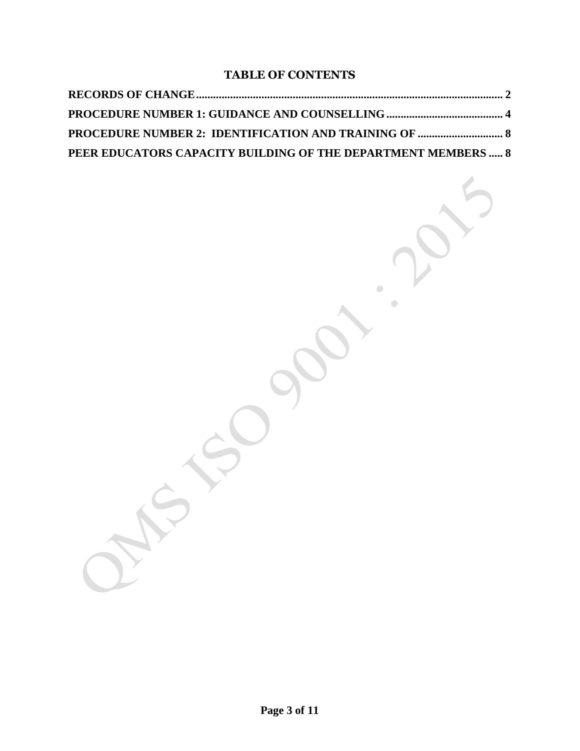### **TABLE OF CONTENTS**

| PEER EDUCATORS CAPACITY BUILDING OF THE DEPARTMENT MEMBERS  8 |  |
|---------------------------------------------------------------|--|

 $\begin{array}{c} \bullet \\ \bullet \end{array}$ 

 $\begin{array}{c} \bullet \\ \bullet \end{array}$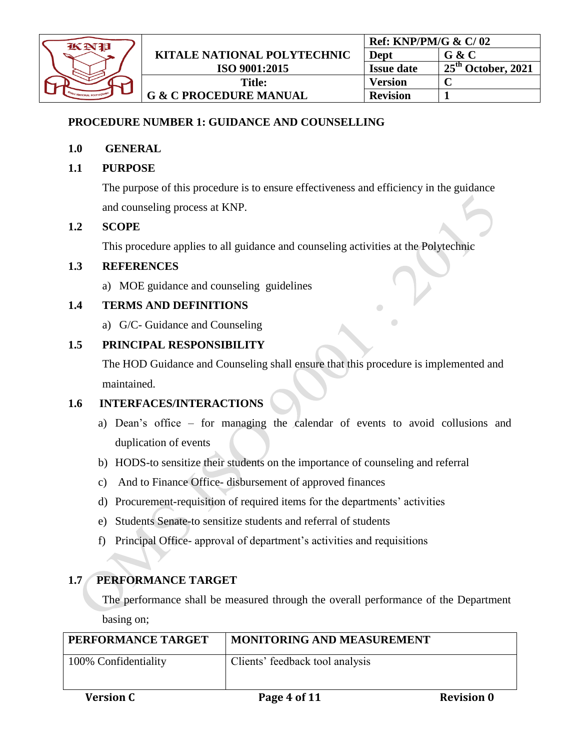

### <span id="page-3-0"></span>**PROCEDURE NUMBER 1: GUIDANCE AND COUNSELLING**

### **1.0 GENERAL**

### **1.1 PURPOSE**

The purpose of this procedure is to ensure effectiveness and efficiency in the guidance and counseling process at KNP.

### **1.2 SCOPE**

This procedure applies to all guidance and counseling activities at the Polytechnic

### **1.3 REFERENCES**

a) MOE guidance and counseling guidelines

### **1.4 TERMS AND DEFINITIONS**

a) G/C- Guidance and Counseling

### **1.5 PRINCIPAL RESPONSIBILITY**

The HOD Guidance and Counseling shall ensure that this procedure is implemented and maintained.

### **1.6 INTERFACES/INTERACTIONS**

- a) Dean's office for managing the calendar of events to avoid collusions and duplication of events
- b) HODS-to sensitize their students on the importance of counseling and referral
- c) And to Finance Office- disbursement of approved finances
- d) Procurement-requisition of required items for the departments' activities
- e) Students Senate-to sensitize students and referral of students
- f) Principal Office- approval of department's activities and requisitions

### **1.7 PERFORMANCE TARGET**

The performance shall be measured through the overall performance of the Department basing on;

| PERFORMANCE TARGET   | <b>MONITORING AND MEASUREMENT</b> |                   |
|----------------------|-----------------------------------|-------------------|
| 100% Confidentiality | Clients' feedback tool analysis   |                   |
| <b>Version C</b>     | Page 4 of 11                      | <b>Revision 0</b> |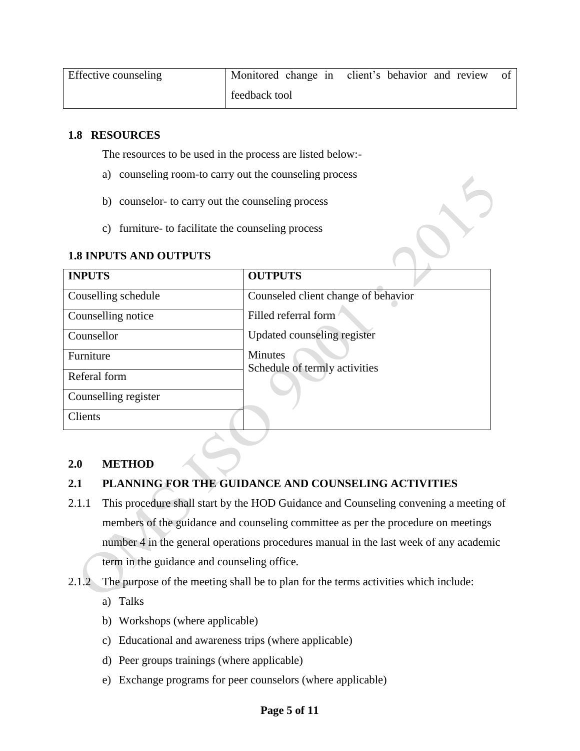| Effective counseling |               | Monitored change in client's behavior and review | ОŤ |
|----------------------|---------------|--------------------------------------------------|----|
|                      | feedback tool |                                                  |    |

#### **1.8 RESOURCES**

The resources to be used in the process are listed below:-

- a) counseling room-to carry out the counseling process
- b) counselor- to carry out the counseling process
- c) furniture- to facilitate the counseling process

#### **1.8 INPUTS AND OUTPUTS**

| <b>INPUTS</b>        | <b>OUTPUTS</b>                      |
|----------------------|-------------------------------------|
| Couselling schedule  | Counseled client change of behavior |
| Counselling notice   | Filled referral form                |
| Counsellor           | Updated counseling register         |
| Furniture            | <b>Minutes</b>                      |
| Referal form         | Schedule of termly activities       |
| Counselling register |                                     |
| <b>Clients</b>       |                                     |

### **2.0 METHOD**

### **2.1 PLANNING FOR THE GUIDANCE AND COUNSELING ACTIVITIES**

- 2.1.1 This procedure shall start by the HOD Guidance and Counseling convening a meeting of members of the guidance and counseling committee as per the procedure on meetings number 4 in the general operations procedures manual in the last week of any academic term in the guidance and counseling office.
- 2.1.2 The purpose of the meeting shall be to plan for the terms activities which include:
	- a) Talks
	- b) Workshops (where applicable)
	- c) Educational and awareness trips (where applicable)
	- d) Peer groups trainings (where applicable)
	- e) Exchange programs for peer counselors (where applicable)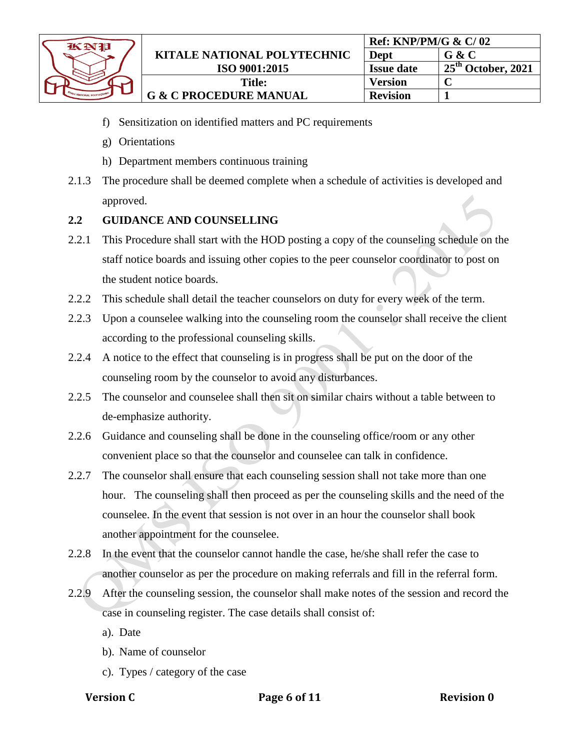| KNP                                       |  |
|-------------------------------------------|--|
|                                           |  |
| <b><i>TITALE NATIONAL POLYTECHNIC</i></b> |  |

- f) Sensitization on identified matters and PC requirements
- g) Orientations
- h) Department members continuous training
- 2.1.3 The procedure shall be deemed complete when a schedule of activities is developed and approved.

### **2.2 GUIDANCE AND COUNSELLING**

- 2.2.1 This Procedure shall start with the HOD posting a copy of the counseling schedule on the staff notice boards and issuing other copies to the peer counselor coordinator to post on the student notice boards.
- 2.2.2 This schedule shall detail the teacher counselors on duty for every week of the term.
- 2.2.3 Upon a counselee walking into the counseling room the counselor shall receive the client according to the professional counseling skills.
- 2.2.4 A notice to the effect that counseling is in progress shall be put on the door of the counseling room by the counselor to avoid any disturbances.
- 2.2.5 The counselor and counselee shall then sit on similar chairs without a table between to de-emphasize authority.
- 2.2.6 Guidance and counseling shall be done in the counseling office/room or any other convenient place so that the counselor and counselee can talk in confidence.
- 2.2.7 The counselor shall ensure that each counseling session shall not take more than one hour. The counseling shall then proceed as per the counseling skills and the need of the counselee. In the event that session is not over in an hour the counselor shall book another appointment for the counselee.
- 2.2.8 In the event that the counselor cannot handle the case, he/she shall refer the case to another counselor as per the procedure on making referrals and fill in the referral form.
- 2.2.9 After the counseling session, the counselor shall make notes of the session and record the case in counseling register. The case details shall consist of:
	- a). Date
	- b). Name of counselor
	- c). Types / category of the case
	-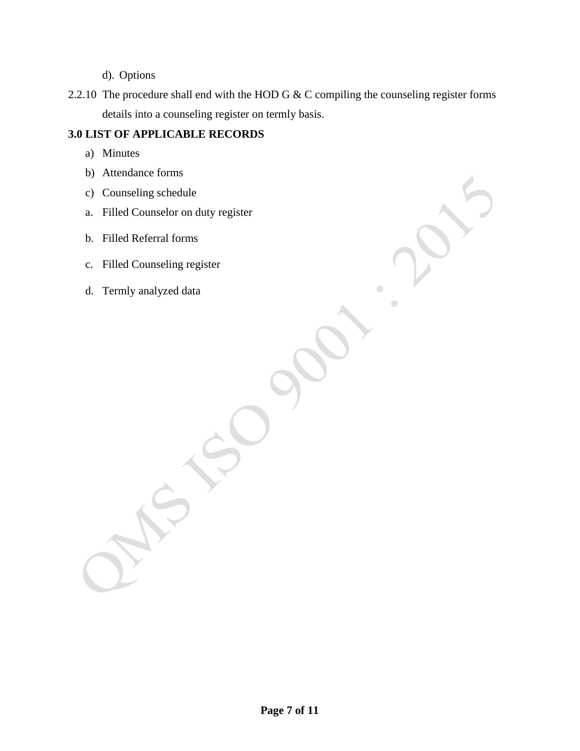d). Options

2.2.10 The procedure shall end with the HOD G & C compiling the counseling register forms details into a counseling register on termly basis.

### **3.0 LIST OF APPLICABLE RECORDS**

- a) Minutes
- b) Attendance forms
- c) Counseling schedule
- a. Filled Counselor on duty register
- b. Filled Referral forms
- c. Filled Counseling register
- d. Termly analyzed data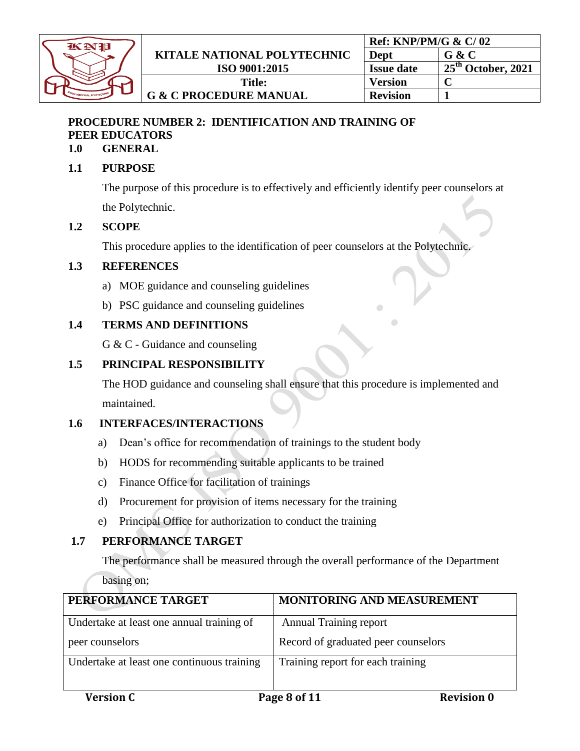

### <span id="page-7-1"></span><span id="page-7-0"></span>**PROCEDURE NUMBER 2: IDENTIFICATION AND TRAINING OF PEER EDUCATORS**

### **1.0 GENERAL**

### **1.1 PURPOSE**

The purpose of this procedure is to effectively and efficiently identify peer counselors at the Polytechnic.

### **1.2 SCOPE**

This procedure applies to the identification of peer counselors at the Polytechnic.

### **1.3 REFERENCES**

- a) MOE guidance and counseling guidelines
- b) PSC guidance and counseling guidelines

### **1.4 TERMS AND DEFINITIONS**

G & C - Guidance and counseling

### **1.5 PRINCIPAL RESPONSIBILITY**

The HOD guidance and counseling shall ensure that this procedure is implemented and maintained.

### **1.6 INTERFACES/INTERACTIONS**

- a) Dean's office for recommendation of trainings to the student body
- b) HODS for recommending suitable applicants to be trained
- c) Finance Office for facilitation of trainings
- d) Procurement for provision of items necessary for the training
- e) Principal Office for authorization to conduct the training

### **1.7 PERFORMANCE TARGET**

The performance shall be measured through the overall performance of the Department

basing on;

| PERFORMANCE TARGET                                           | MONITORING AND MEASUREMENT                                           |
|--------------------------------------------------------------|----------------------------------------------------------------------|
| Undertake at least one annual training of<br>peer counselors | <b>Annual Training report</b><br>Record of graduated peer counselors |
| Undertake at least one continuous training                   | Training report for each training                                    |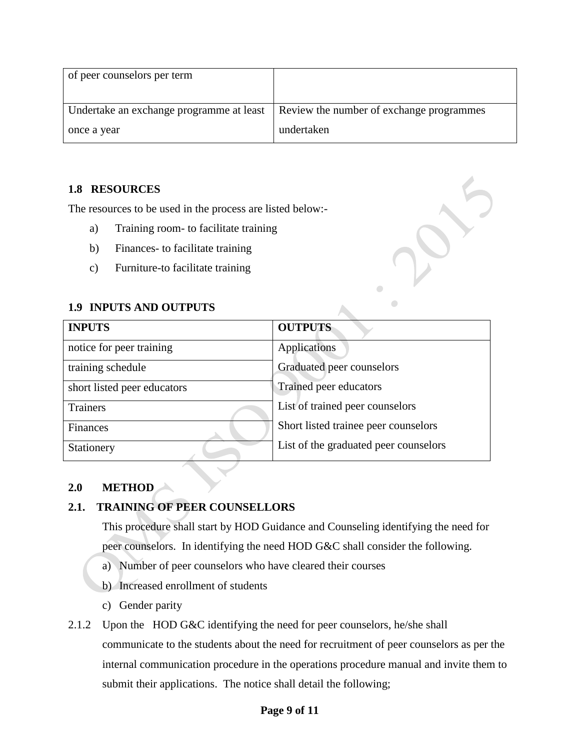| of peer counselors per term              |                                          |
|------------------------------------------|------------------------------------------|
| Undertake an exchange programme at least | Review the number of exchange programmes |
| once a year                              | undertaken                               |

### **1.8 RESOURCES**

The resources to be used in the process are listed below:-

- a) Training room- to facilitate training
- b) Finances- to facilitate training
- c) Furniture-to facilitate training

### **1.9 INPUTS AND OUTPUTS**

| <b>INPUTS</b>               | <b>OUTPUTS</b>                        |
|-----------------------------|---------------------------------------|
| notice for peer training    | Applications                          |
| training schedule           | Graduated peer counselors             |
| short listed peer educators | Trained peer educators                |
| <b>Trainers</b>             | List of trained peer counselors       |
| Finances                    | Short listed trainee peer counselors  |
| Stationery                  | List of the graduated peer counselors |

### **2.0 METHOD**

### **2.1. TRAINING OF PEER COUNSELLORS**

This procedure shall start by HOD Guidance and Counseling identifying the need for peer counselors. In identifying the need HOD G&C shall consider the following.

- a) Number of peer counselors who have cleared their courses
- b) Increased enrollment of students
- c) Gender parity
- 2.1.2 Upon the HOD G&C identifying the need for peer counselors, he/she shall communicate to the students about the need for recruitment of peer counselors as per the internal communication procedure in the operations procedure manual and invite them to submit their applications. The notice shall detail the following;

### **Page 9 of 11**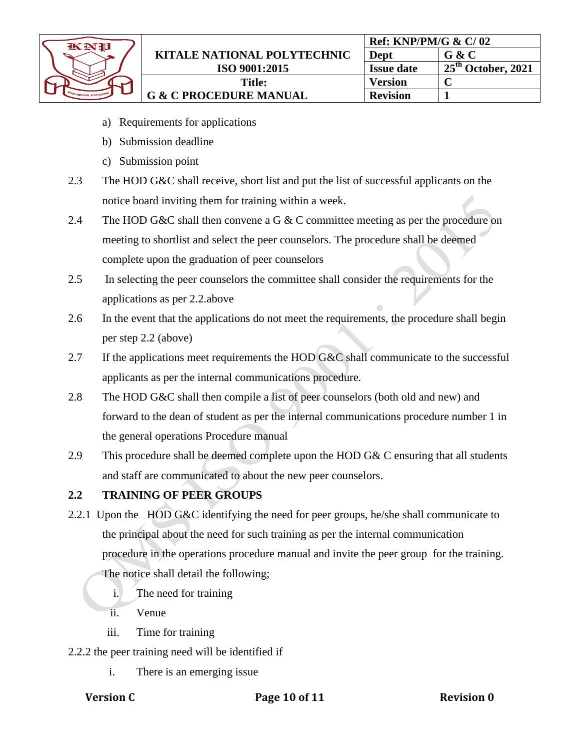| 衣女指                                       |  |
|-------------------------------------------|--|
|                                           |  |
| <b><i>TITALE NATIONAL POLYTECHNIC</i></b> |  |

- a) Requirements for applications
- b) Submission deadline
- c) Submission point
- 2.3 The HOD G&C shall receive, short list and put the list of successful applicants on the notice board inviting them for training within a week.
- 2.4 The HOD G&C shall then convene a G & C committee meeting as per the procedure on meeting to shortlist and select the peer counselors. The procedure shall be deemed complete upon the graduation of peer counselors
- 2.5 In selecting the peer counselors the committee shall consider the requirements for the applications as per 2.2.above
- 2.6 In the event that the applications do not meet the requirements, the procedure shall begin per step 2.2 (above)
- 2.7 If the applications meet requirements the HOD G&C shall communicate to the successful applicants as per the internal communications procedure.
- 2.8 The HOD G&C shall then compile a list of peer counselors (both old and new) and forward to the dean of student as per the internal communications procedure number 1 in the general operations Procedure manual
- 2.9 This procedure shall be deemed complete upon the HOD G& C ensuring that all students and staff are communicated to about the new peer counselors.

### **2.2 TRAINING OF PEER GROUPS**

- 2.2.1 Upon the HOD G&C identifying the need for peer groups, he/she shall communicate to the principal about the need for such training as per the internal communication procedure in the operations procedure manual and invite the peer group for the training. The notice shall detail the following;
	- i. The need for training
	- ii. Venue
	- iii. Time for training
- 2.2.2 the peer training need will be identified if
	- i. There is an emerging issue